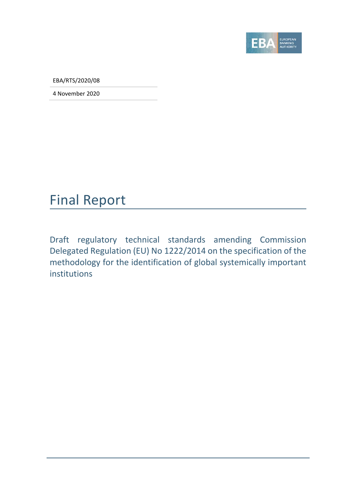

EBA/RTS/2020/08

4 November 2020

## Final Report

Draft regulatory technical standards amending Commission Delegated Regulation (EU) No 1222/2014 on the specification of the methodology for the identification of global systemically important institutions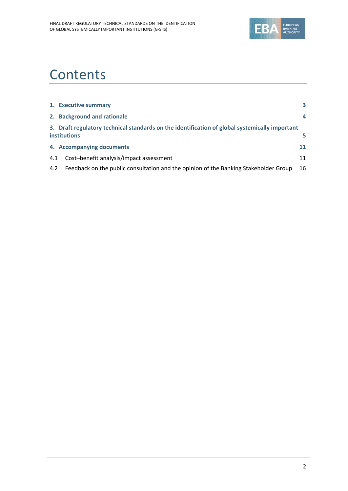

# **Contents**

|     | 1. Executive summary                                                                                                  | 3  |
|-----|-----------------------------------------------------------------------------------------------------------------------|----|
|     | 2. Background and rationale                                                                                           | 4  |
|     | 3. Draft regulatory technical standards on the identification of global systemically important<br><b>institutions</b> | 5. |
|     | 4. Accompanying documents                                                                                             | 11 |
| 4.1 | Cost-benefit analysis/impact assessment                                                                               | 11 |
| 4.2 | Feedback on the public consultation and the opinion of the Banking Stakeholder Group                                  | 16 |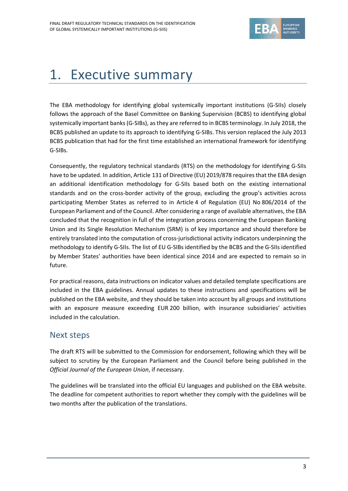

# 1. Executive summary

The EBA methodology for identifying global systemically important institutions (G‐SIIs) closely follows the approach of the Basel Committee on Banking Supervision (BCBS) to identifying global systemically important banks (G-SIBs), as they are referred to in BCBS terminology. In July 2018, the BCBS published an update to its approach to identifying G‐SIBs. This version replaced the July 2013 BCBS publication that had for the first time established an international framework for identifying G‐SIBs.

Consequently, the regulatory technical standards (RTS) on the methodology for identifying G‐SIIs have to be updated. In addition, Article 131 of Directive (EU) 2019/878 requires that the EBA design an additional identification methodology for G‐SIIs based both on the existing international standards and on the cross‐border activity of the group, excluding the group's activities across participating Member States as referred to in Article 4 of Regulation (EU) No 806/2014 of the European Parliament and of the Council. After considering a range of available alternatives, the EBA concluded that the recognition in full of the integration process concerning the European Banking Union and its Single Resolution Mechanism (SRM) is of key importance and should therefore be entirely translated into the computation of cross-jurisdictional activity indicators underpinning the methodology to identify G‐SIIs. The list of EU G‐SIBs identified by the BCBS and the G‐SIIs identified by Member States' authorities have been identical since 2014 and are expected to remain so in future.

For practical reasons, data instructions on indicator values and detailed template specifications are included in the EBA guidelines. Annual updates to these instructions and specifications will be published on the EBA website, and they should be taken into account by all groups and institutions with an exposure measure exceeding EUR 200 billion, with insurance subsidiaries' activities included in the calculation.

## Next steps

The draft RTS will be submitted to the Commission for endorsement, following which they will be subject to scrutiny by the European Parliament and the Council before being published in the *Official Journal of the European Union*, if necessary.

The guidelines will be translated into the official EU languages and published on the EBA website. The deadline for competent authorities to report whether they comply with the guidelines will be two months after the publication of the translations.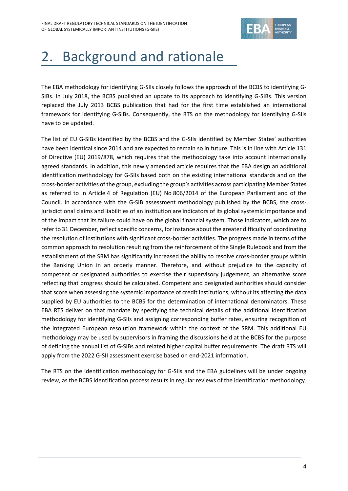

# 2. Background and rationale

The EBA methodology for identifying G-SIIs closely follows the approach of the BCBS to identifying G-SIBs. In July 2018, the BCBS published an update to its approach to identifying G‐SIBs. This version replaced the July 2013 BCBS publication that had for the first time established an international framework for identifying G‐SIBs. Consequently, the RTS on the methodology for identifying G‐SIIs have to be updated.

The list of EU G-SIBs identified by the BCBS and the G-SIIs identified by Member States' authorities have been identical since 2014 and are expected to remain so in future. This is in line with Article 131 of Directive (EU) 2019/878, which requires that the methodology take into account internationally agreed standards. In addition, this newly amended article requires that the EBA design an additional identification methodology for G‐SIIs based both on the existing international standards and on the cross‐border activities of the group, excluding the group's activities across participating Member States as referred to in Article 4 of Regulation (EU) No 806/2014 of the European Parliament and of the Council. In accordance with the G‐SIB assessment methodology published by the BCBS, the cross‐ jurisdictional claims and liabilities of an institution are indicators of its global systemic importance and of the impact that its failure could have on the global financial system. Those indicators, which are to refer to 31 December, reflect specific concerns, for instance about the greater difficulty of coordinating the resolution of institutions with significant cross‐border activities. The progress made in terms of the common approach to resolution resulting from the reinforcement of the Single Rulebook and from the establishment of the SRM has significantly increased the ability to resolve cross-border groups within the Banking Union in an orderly manner. Therefore, and without prejudice to the capacity of competent or designated authorities to exercise their supervisory judgement, an alternative score reflecting that progress should be calculated. Competent and designated authorities should consider that score when assessing the systemic importance of credit institutions, without its affecting the data supplied by EU authorities to the BCBS for the determination of international denominators. These EBA RTS deliver on that mandate by specifying the technical details of the additional identification methodology for identifying G‐SIIs and assigning corresponding buffer rates, ensuring recognition of the integrated European resolution framework within the context of the SRM. This additional EU methodology may be used by supervisors in framing the discussions held at the BCBS for the purpose of defining the annual list of G‐SIBs and related higher capital buffer requirements. The draft RTS will apply from the 2022 G-SII assessment exercise based on end-2021 information.

The RTS on the identification methodology for G‐SIIs and the EBA guidelines will be under ongoing review, as the BCBS identification process results in regular reviews of the identification methodology.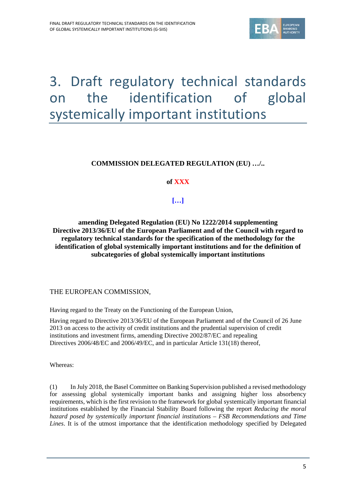

# 3. Draft regulatory technical standards on the identification of global systemically important institutions

### **COMMISSION DELEGATED REGULATION (EU) …/..**

#### **of XXX**

### **[…]**

**amending Delegated Regulation (EU) No 1222/2014 supplementing Directive 2013/36/EU of the European Parliament and of the Council with regard to regulatory technical standards for the specification of the methodology for the identification of global systemically important institutions and for the definition of subcategories of global systemically important institutions** 

THE EUROPEAN COMMISSION,

Having regard to the Treaty on the Functioning of the European Union,

Having regard to Directive 2013/36/EU of the European Parliament and of the Council of 26 June 2013 on access to the activity of credit institutions and the prudential supervision of credit institutions and investment firms, amending Directive 2002/87/EC and repealing Directives 2006/48/EC and 2006/49/EC, and in particular Article 131(18) thereof,

Whereas:

(1) In July 2018, the Basel Committee on Banking Supervision published a revised methodology for assessing global systemically important banks and assigning higher loss absorbency requirements, which is the first revision to the framework for global systemically important financial institutions established by the Financial Stability Board following the report *Reducing the moral hazard posed by systemically important financial institutions – FSB Recommendations and Time Lines*. It is of the utmost importance that the identification methodology specified by Delegated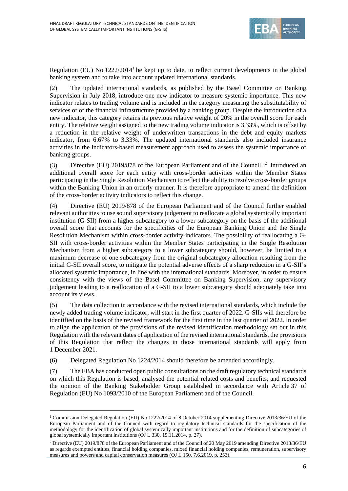

Regulation (EU) No 1222/2014<sup>1</sup> be kept up to date, to reflect current developments in the global banking system and to take into account updated international standards.

(2) The updated international standards, as published by the Basel Committee on Banking Supervision in July 2018, introduce one new indicator to measure systemic importance. This new indicator relates to trading volume and is included in the category measuring the substitutability of services or of the financial infrastructure provided by a banking group. Despite the introduction of a new indicator, this category retains its previous relative weight of 20% in the overall score for each entity. The relative weight assigned to the new trading volume indicator is 3.33%, which is offset by a reduction in the relative weight of underwritten transactions in the debt and equity markets indicator, from 6.67% to 3.33%. The updated international standards also included insurance activities in the indicators-based measurement approach used to assess the systemic importance of banking groups.

(3) Directive (EU) 2019/878 of the European Parliament and of the Council  $l^2$  introduced an additional overall score for each entity with cross-border activities within the Member States participating in the Single Resolution Mechanism to reflect the ability to resolve cross-border groups within the Banking Union in an orderly manner. It is therefore appropriate to amend the definition of the cross-border activity indicators to reflect this change.

(4) Directive (EU) 2019/878 of the European Parliament and of the Council further enabled relevant authorities to use sound supervisory judgement to reallocate a global systemically important institution (G-SII) from a higher subcategory to a lower subcategory on the basis of the additional overall score that accounts for the specificities of the European Banking Union and the Single Resolution Mechanism within cross-border activity indicators. The possibility of reallocating a G-SII with cross-border activities within the Member States participating in the Single Resolution Mechanism from a higher subcategory to a lower subcategory should, however, be limited to a maximum decrease of one subcategory from the original subcategory allocation resulting from the initial G-SII overall score, to mitigate the potential adverse effects of a sharp reduction in a G-SII's allocated systemic importance, in line with the international standards. Moreover, in order to ensure consistency with the views of the Basel Committee on Banking Supervision, any supervisory judgement leading to a reallocation of a G-SII to a lower subcategory should adequately take into account its views.

(5) The data collection in accordance with the revised international standards, which include the newly added trading volume indicator, will start in the first quarter of 2022. G-SIIs will therefore be identified on the basis of the revised framework for the first time in the last quarter of 2022. In order to align the application of the provisions of the revised identification methodology set out in this Regulation with the relevant dates of application of the revised international standards, the provisions of this Regulation that reflect the changes in those international standards will apply from 1 December 2021.

(6) Delegated Regulation No 1224/2014 should therefore be amended accordingly.

<u> Andreas Andreas Andreas Andreas Andreas Andreas Andreas Andreas Andreas Andreas Andreas Andreas Andreas Andr</u>

(7) The EBA has conducted open public consultations on the draft regulatory technical standards on which this Regulation is based, analysed the potential related costs and benefits, and requested the opinion of the Banking Stakeholder Group established in accordance with Article 37 of Regulation (EU) No 1093/2010 of the European Parliament and of the Council.

<sup>&</sup>lt;sup>1</sup> Commission Delegated Regulation (EU) No 1222/2014 of 8 October 2014 supplementing Directive 2013/36/EU of the European Parliament and of the Council with regard to regulatory technical standards for the specification of the methodology for the identification of global systemically important institutions and for the definition of subcategories of global systemically important institutions (OJ L 330, 15.11.2014, p. 27).

<sup>2</sup> Directive (EU) 2019/878 of the European Parliament and of the Council of 20 May 2019 amending Directive 2013/36/EU as regards exempted entities, financial holding companies, mixed financial holding companies, remuneration, supervisory measures and powers and capital conservation measures (OJ L 150, 7.6.2019, p. 253).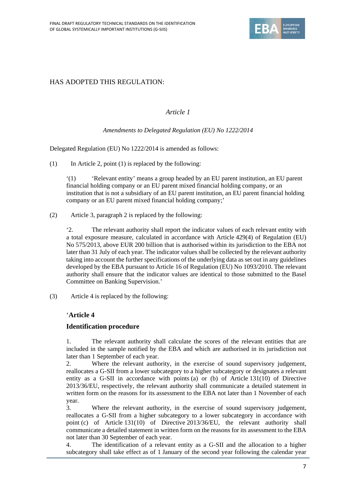

### HAS ADOPTED THIS REGULATION:

#### *Article 1*

#### *Amendments to Delegated Regulation (EU) No 1222/2014*

Delegated Regulation (EU) No 1222/2014 is amended as follows:

 $(1)$  In Article 2, point  $(1)$  is replaced by the following:

'(1) 'Relevant entity' means a group headed by an EU parent institution, an EU parent financial holding company or an EU parent mixed financial holding company, or an institution that is not a subsidiary of an EU parent institution, an EU parent financial holding company or an EU parent mixed financial holding company;'

(2) Article 3, paragraph 2 is replaced by the following:

'2. The relevant authority shall report the indicator values of each relevant entity with a total exposure measure, calculated in accordance with Article 429(4) of Regulation (EU) No 575/2013, above EUR 200 billion that is authorised within its jurisdiction to the EBA not later than 31 July of each year. The indicator values shall be collected by the relevant authority taking into account the further specifications of the underlying data as set out in any guidelines developed by the EBA pursuant to Article 16 of Regulation (EU) No 1093/2010. The relevant authority shall ensure that the indicator values are identical to those submitted to the Basel Committee on Banking Supervision.'

(3) Article 4 is replaced by the following:

#### '**Article 4**

#### **Identification procedure**

1. The relevant authority shall calculate the scores of the relevant entities that are included in the sample notified by the EBA and which are authorised in its jurisdiction not later than 1 September of each year.

2. Where the relevant authority, in the exercise of sound supervisory judgement, reallocates a G-SII from a lower subcategory to a higher subcategory or designates a relevant entity as a G-SII in accordance with points (a) or (b) of Article 131(10) of Directive 2013/36/EU, respectively, the relevant authority shall communicate a detailed statement in written form on the reasons for its assessment to the EBA not later than 1 November of each year.

3. Where the relevant authority, in the exercise of sound supervisory judgement, reallocates a G-SII from a higher subcategory to a lower subcategory in accordance with point (c) of Article 131(10) of Directive 2013/36/EU, the relevant authority shall communicate a detailed statement in written form on the reasons for its assessment to the EBA not later than 30 September of each year.

4. The identification of a relevant entity as a G-SII and the allocation to a higher subcategory shall take effect as of 1 January of the second year following the calendar year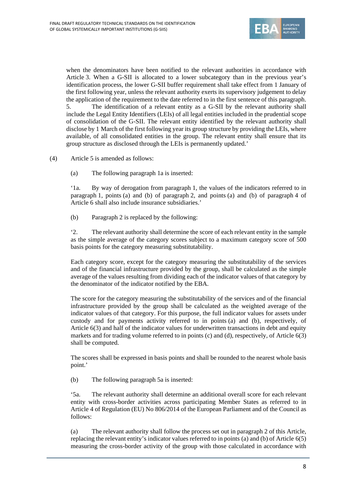

when the denominators have been notified to the relevant authorities in accordance with Article 3. When a G-SII is allocated to a lower subcategory than in the previous year's identification process, the lower G-SII buffer requirement shall take effect from 1 January of the first following year, unless the relevant authority exerts its supervisory judgement to delay the application of the requirement to the date referred to in the first sentence of this paragraph. 5. The identification of a relevant entity as a G-SII by the relevant authority shall include the Legal Entity Identifiers (LEIs) of all legal entities included in the prudential scope of consolidation of the G-SII. The relevant entity identified by the relevant authority shall disclose by 1 March of the first following year its group structure by providing the LEIs, where available, of all consolidated entities in the group. The relevant entity shall ensure that its group structure as disclosed through the LEIs is permanently updated.'

(4) Article 5 is amended as follows:

(a) The following paragraph 1a is inserted:

'1a. By way of derogation from paragraph 1, the values of the indicators referred to in paragraph 1, points (a) and (b) of paragraph 2, and points (a) and (b) of paragraph 4 of Article 6 shall also include insurance subsidiaries.'

(b) Paragraph 2 is replaced by the following:

'2. The relevant authority shall determine the score of each relevant entity in the sample as the simple average of the category scores subject to a maximum category score of 500 basis points for the category measuring substitutability.

Each category score, except for the category measuring the substitutability of the services and of the financial infrastructure provided by the group, shall be calculated as the simple average of the values resulting from dividing each of the indicator values of that category by the denominator of the indicator notified by the EBA.

The score for the category measuring the substitutability of the services and of the financial infrastructure provided by the group shall be calculated as the weighted average of the indicator values of that category. For this purpose, the full indicator values for assets under custody and for payments activity referred to in points (a) and (b), respectively, of Article 6(3) and half of the indicator values for underwritten transactions in debt and equity markets and for trading volume referred to in points (c) and (d), respectively, of Article 6(3) shall be computed.

The scores shall be expressed in basis points and shall be rounded to the nearest whole basis point.'

(b) The following paragraph 5a is inserted:

'5a. The relevant authority shall determine an additional overall score for each relevant entity with cross-border activities across participating Member States as referred to in Article 4 of Regulation (EU) No 806/2014 of the European Parliament and of the Council as follows:

(a) The relevant authority shall follow the process set out in paragraph 2 of this Article, replacing the relevant entity's indicator values referred to in points (a) and (b) of Article 6(5) measuring the cross-border activity of the group with those calculated in accordance with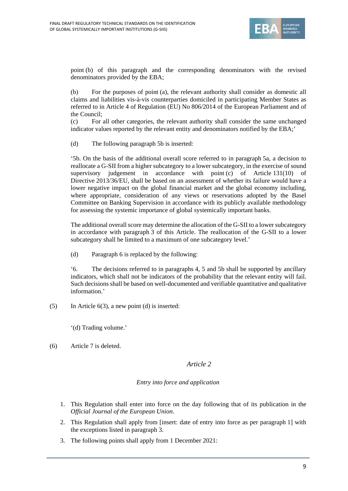

point (b) of this paragraph and the corresponding denominators with the revised denominators provided by the EBA;

(b) For the purposes of point (a), the relevant authority shall consider as domestic all claims and liabilities vis-à-vis counterparties domiciled in participating Member States as referred to in Article 4 of Regulation (EU) No 806/2014 of the European Parliament and of the Council;

(c) For all other categories, the relevant authority shall consider the same unchanged indicator values reported by the relevant entity and denominators notified by the EBA;'

(d) The following paragraph 5b is inserted:

'5b. On the basis of the additional overall score referred to in paragraph 5a, a decision to reallocate a G-SII from a higher subcategory to a lower subcategory, in the exercise of sound supervisory judgement in accordance with point (c) of Article 131(10) of Directive 2013/36/EU, shall be based on an assessment of whether its failure would have a lower negative impact on the global financial market and the global economy including, where appropriate, consideration of any views or reservations adopted by the Basel Committee on Banking Supervision in accordance with its publicly available methodology for assessing the systemic importance of global systemically important banks.

The additional overall score may determine the allocation of the G-SII to a lower subcategory in accordance with paragraph 3 of this Article. The reallocation of the G-SII to a lower subcategory shall be limited to a maximum of one subcategory level.'

(d) Paragraph 6 is replaced by the following:

'6. The decisions referred to in paragraphs 4, 5 and 5b shall be supported by ancillary indicators, which shall not be indicators of the probability that the relevant entity will fail. Such decisions shall be based on well-documented and verifiable quantitative and qualitative information.'

(5) In Article 6(3), a new point (d) is inserted:

'(d) Trading volume.'

(6) Article 7 is deleted.

#### *Article 2*

#### *Entry into force and application*

- 1. This Regulation shall enter into force on the day following that of its publication in the *Official Journal of the European Union*.
- 2. This Regulation shall apply from [insert: date of entry into force as per paragraph 1] with the exceptions listed in paragraph 3.
- 3. The following points shall apply from 1 December 2021: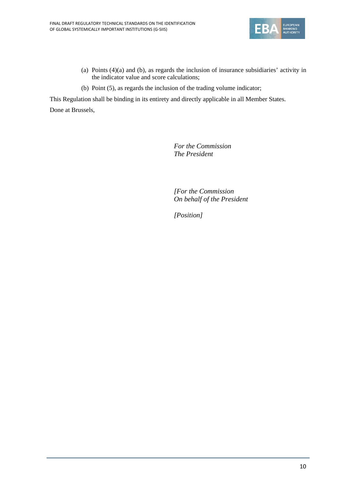

- (a) Points (4)(a) and (b), as regards the inclusion of insurance subsidiaries' activity in the indicator value and score calculations;
- (b) Point (5), as regards the inclusion of the trading volume indicator;

This Regulation shall be binding in its entirety and directly applicable in all Member States. Done at Brussels,

> *For the Commission The President*

 *[For the Commission On behalf of the President* 

 *[Position]*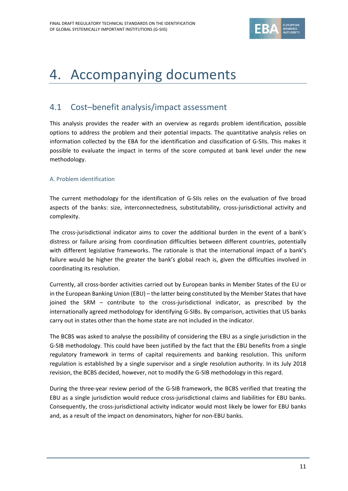

## 4. Accompanying documents

## 4.1 Cost–benefit analysis/impact assessment

This analysis provides the reader with an overview as regards problem identification, possible options to address the problem and their potential impacts. The quantitative analysis relies on information collected by the EBA for the identification and classification of G‐SIIs. This makes it possible to evaluate the impact in terms of the score computed at bank level under the new methodology.

#### A. Problem identification

The current methodology for the identification of G‐SIIs relies on the evaluation of five broad aspects of the banks: size, interconnectedness, substitutability, cross-jurisdictional activity and complexity.

The cross-jurisdictional indicator aims to cover the additional burden in the event of a bank's distress or failure arising from coordination difficulties between different countries, potentially with different legislative frameworks. The rationale is that the international impact of a bank's failure would be higher the greater the bank's global reach is, given the difficulties involved in coordinating its resolution.

Currently, all cross‐border activities carried out by European banks in Member States of the EU or in the European Banking Union (EBU) – the latter being constituted by the Member States that have joined the SRM – contribute to the cross-jurisdictional indicator, as prescribed by the internationally agreed methodology for identifying G‐SIBs. By comparison, activities that US banks carry out in states other than the home state are not included in the indicator.

The BCBS was asked to analyse the possibility of considering the EBU as a single jurisdiction in the G‐SIB methodology. This could have been justified by the fact that the EBU benefits from a single regulatory framework in terms of capital requirements and banking resolution. This uniform regulation is established by a single supervisor and a single resolution authority. In its July 2018 revision, the BCBS decided, however, not to modify the G-SIB methodology in this regard.

During the three‐year review period of the G‐SIB framework, the BCBS verified that treating the EBU as a single jurisdiction would reduce cross-jurisdictional claims and liabilities for EBU banks. Consequently, the cross‐jurisdictional activity indicator would most likely be lower for EBU banks and, as a result of the impact on denominators, higher for non‐EBU banks.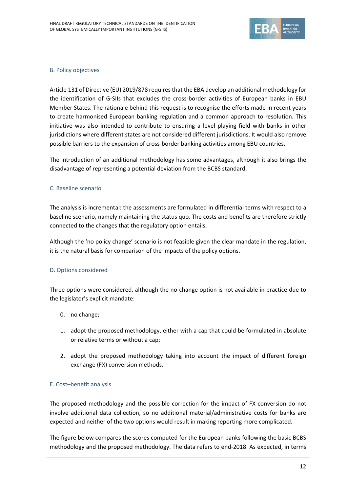

#### B. Policy objectives

Article 131 of Directive (EU) 2019/878 requiresthat the EBA develop an additional methodology for the identification of G-SIIs that excludes the cross-border activities of European banks in EBU Member States. The rationale behind this request is to recognise the efforts made in recent years to create harmonised European banking regulation and a common approach to resolution. This initiative was also intended to contribute to ensuring a level playing field with banks in other jurisdictions where different states are not considered different jurisdictions. It would also remove possible barriers to the expansion of cross-border banking activities among EBU countries.

The introduction of an additional methodology has some advantages, although it also brings the disadvantage of representing a potential deviation from the BCBS standard.

#### C. Baseline scenario

The analysis is incremental: the assessments are formulated in differential terms with respect to a baseline scenario, namely maintaining the status quo. The costs and benefits are therefore strictly connected to the changes that the regulatory option entails.

Although the 'no policy change' scenario is not feasible given the clear mandate in the regulation, it is the natural basis for comparison of the impacts of the policy options.

#### D. Options considered

Three options were considered, although the no-change option is not available in practice due to the legislator's explicit mandate:

- 0. no change;
- 1. adopt the proposed methodology, either with a cap that could be formulated in absolute or relative terms or without a cap;
- 2. adopt the proposed methodology taking into account the impact of different foreign exchange (FX) conversion methods.

#### E. Cost–benefit analysis

The proposed methodology and the possible correction for the impact of FX conversion do not involve additional data collection, so no additional material/administrative costs for banks are expected and neither of the two options would result in making reporting more complicated.

The figure below compares the scores computed for the European banks following the basic BCBS methodology and the proposed methodology. The data refers to end‐2018. As expected, in terms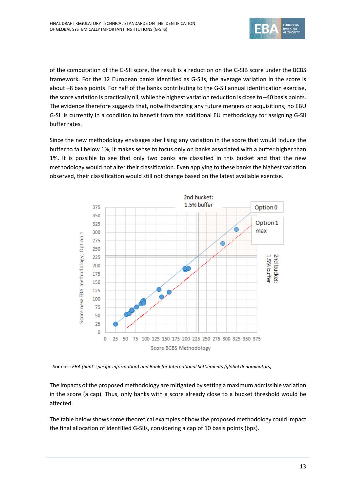

of the computation of the G‐SII score, the result is a reduction on the G‐SIB score under the BCBS framework. For the 12 European banks identified as G‐SIIs, the average variation in the score is about –8 basis points. For half of the banks contributing to the G‐SII annual identification exercise, the score variation is practically nil, while the highest variation reduction is close to –40 basis points. The evidence therefore suggests that, notwithstanding any future mergers or acquisitions, no EBU G‐SII is currently in a condition to benefit from the additional EU methodology for assigning G‐SII buffer rates.

Since the new methodology envisages sterilising any variation in the score that would induce the buffer to fall below 1%, it makes sense to focus only on banks associated with a buffer higher than 1%. It is possible to see that only two banks are classified in this bucket and that the new methodology would not alter their classification. Even applying to these banks the highest variation observed, their classification would still not change based on the latest available exercise.



Sources: *EBA (bank‐specific information) and Bank for International Settlements (global denominators)*

The impacts of the proposed methodology are mitigated by setting a maximum admissible variation in the score (a cap). Thus, only banks with a score already close to a bucket threshold would be affected.

The table below showssome theoretical examples of how the proposed methodology could impact the final allocation of identified G‐SIIs, considering a cap of 10 basis points (bps).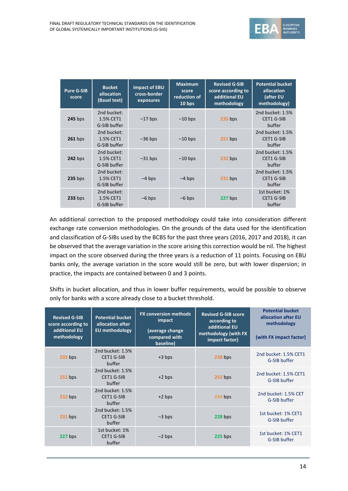

| <b>Pure G-SIB</b><br>score | <b>Bucket</b><br>allocation<br>(Basel text) | <b>Impact of EBU</b><br>cross-border<br>exposures | <b>Maximum</b><br>score<br>reduction of<br>10 bps | <b>Revised G-SIB</b><br>score according to<br>additional EU<br>methodology | <b>Potential bucket</b><br>allocation<br>(after EU<br>methodology) |
|----------------------------|---------------------------------------------|---------------------------------------------------|---------------------------------------------------|----------------------------------------------------------------------------|--------------------------------------------------------------------|
| <b>245</b> bps             | 2nd bucket:<br>1.5% CET1<br>G-SIB buffer    | $-17$ bps                                         | $-10$ bps                                         | $235$ bps                                                                  | 2nd bucket: 1.5%<br>CET1 G-SIB<br>buffer                           |
| $261$ bps                  | 2nd bucket:<br>1.5% CET1<br>G-SIB buffer    | $-36$ bps                                         | $-10$ bps                                         | $251$ bps                                                                  | 2nd bucket: 1.5%<br><b>CET1 G-SIB</b><br>buffer                    |
| <b>242 bps</b>             | 2nd bucket:<br>1.5% CET1<br>G-SIB buffer    | $-31$ bps                                         | $-10$ bps                                         | $232$ bps                                                                  | 2nd bucket: 1.5%<br>CET1 G-SIB<br>buffer                           |
| $235$ bps                  | 2nd bucket:<br>1.5% CET1<br>G-SIB buffer    | $-4$ bps                                          | $-4$ bps                                          | $231$ bps                                                                  | 2nd bucket: 1.5%<br>CET1 G-SIB<br>buffer                           |
| $233$ bps                  | 2nd bucket:<br>1.5% CET1<br>G-SIB buffer    | $-6$ bps                                          | $-6$ bps                                          | 227 bps                                                                    | 1st bucket: 1%<br>CET1 G-SIB<br>buffer                             |

An additional correction to the proposed methodology could take into consideration different exchange rate conversion methodologies. On the grounds of the data used for the identification and classification of G‐SIBs used by the BCBS for the past three years (2016, 2017 and 2018), it can be observed that the average variation in the score arising this correction would be nil. The highest impact on the score observed during the three years is a reduction of 11 points. Focusing on EBU banks only, the average variation in the score would still be zero, but with lower dispersion; in practice, the impacts are contained between 0 and 3 points.

Shifts in bucket allocation, and thus in lower buffer requirements, would be possible to observe only for banks with a score already close to a bucket threshold.

| <b>Revised G-SIB</b><br>score according to<br>additional EU<br>methodology | <b>Potential bucket</b><br>allocation after<br><b>EU</b> methodology | <b>FX conversion methods</b><br>impact<br>(average change<br>compared with<br>baseline) | <b>Revised G-SIB score</b><br>according to<br>additional EU<br>methodology (with FX<br>impact factor) | <b>Potential bucket</b><br>allocation after EU<br>methodology<br>(with FX impact factor) |
|----------------------------------------------------------------------------|----------------------------------------------------------------------|-----------------------------------------------------------------------------------------|-------------------------------------------------------------------------------------------------------|------------------------------------------------------------------------------------------|
| <b>235 bps</b>                                                             | 2nd bucket: 1.5%<br><b>CET1 G-SIB</b><br>buffer                      | $+3$ bps                                                                                | 238 bps                                                                                               | 2nd bucket: 1.5% CET1<br>G-SIB buffer                                                    |
| $251$ bps                                                                  | 2nd bucket: 1.5%<br><b>CET1 G-SIB</b><br>buffer                      | $+2$ bps                                                                                | $253$ bps                                                                                             | 2nd bucket: 1.5% CET1<br>G-SIB buffer                                                    |
| 232 bps                                                                    | 2nd bucket: 1.5%<br>CET1 G-SIB<br>buffer                             | $+2$ bps                                                                                | 234 bps                                                                                               | 2nd bucket: 1.5% CET<br>G-SIB buffer                                                     |
| $231$ bps                                                                  | 2nd bucket: 1.5%<br>CET1 G-SIB<br>buffer                             | $-3$ bps                                                                                | $228$ bps                                                                                             | 1st bucket: 1% CET1<br>G-SIB buffer                                                      |
| 227 bps                                                                    | 1st bucket: 1%<br><b>CET1 G-SIB</b><br>buffer                        | $-2$ bps                                                                                | $225$ bps                                                                                             | 1st bucket: 1% CET1<br>G-SIB buffer                                                      |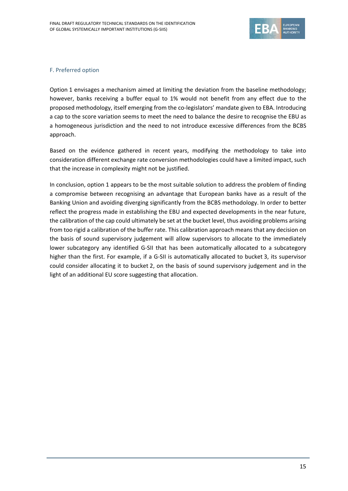

#### F. Preferred option

Option 1 envisages a mechanism aimed at limiting the deviation from the baseline methodology; however, banks receiving a buffer equal to 1% would not benefit from any effect due to the proposed methodology, itself emerging from the co‐legislators' mandate given to EBA. Introducing a cap to the score variation seems to meet the need to balance the desire to recognise the EBU as a homogeneous jurisdiction and the need to not introduce excessive differences from the BCBS approach.

Based on the evidence gathered in recent years, modifying the methodology to take into consideration different exchange rate conversion methodologies could have a limited impact, such that the increase in complexity might not be justified.

In conclusion, option 1 appears to be the most suitable solution to address the problem of finding a compromise between recognising an advantage that European banks have as a result of the Banking Union and avoiding diverging significantly from the BCBS methodology. In order to better reflect the progress made in establishing the EBU and expected developments in the near future, the calibration of the cap could ultimately be set at the bucket level, thus avoiding problems arising from too rigid a calibration of the buffer rate. This calibration approach means that any decision on the basis of sound supervisory judgement will allow supervisors to allocate to the immediately lower subcategory any identified G-SII that has been automatically allocated to a subcategory higher than the first. For example, if a G-SII is automatically allocated to bucket 3, its supervisor could consider allocating it to bucket 2, on the basis of sound supervisory judgement and in the light of an additional EU score suggesting that allocation.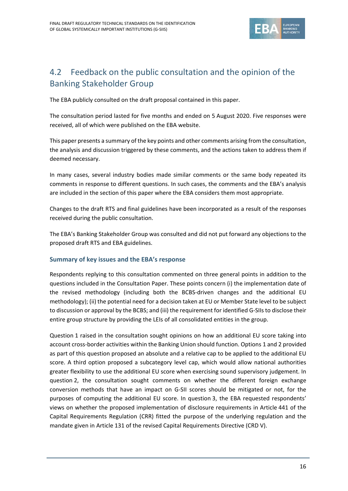

## 4.2 Feedback on the public consultation and the opinion of the Banking Stakeholder Group

The EBA publicly consulted on the draft proposal contained in this paper.

The consultation period lasted for five months and ended on 5 August 2020. Five responses were received, all of which were published on the EBA website.

This paper presents a summary of the key points and other comments arising from the consultation, the analysis and discussion triggered by these comments, and the actions taken to address them if deemed necessary.

In many cases, several industry bodies made similar comments or the same body repeated its comments in response to different questions. In such cases, the comments and the EBA's analysis are included in the section of this paper where the EBA considers them most appropriate.

Changes to the draft RTS and final guidelines have been incorporated as a result of the responses received during the public consultation.

The EBA's Banking Stakeholder Group was consulted and did not put forward any objections to the proposed draft RTS and EBA guidelines.

### **Summary of key issues and the EBA's response**

Respondents replying to this consultation commented on three general points in addition to the questions included in the Consultation Paper. These points concern (i) the implementation date of the revised methodology (including both the BCBS‐driven changes and the additional EU methodology); (ii) the potential need for a decision taken at EU or Member State level to be subject to discussion or approval by the BCBS; and (iii) the requirement for identified G-SIIs to disclose their entire group structure by providing the LEIs of all consolidated entities in the group.

Question 1 raised in the consultation sought opinions on how an additional EU score taking into account cross‐border activities within the Banking Union should function. Options 1 and 2 provided as part of this question proposed an absolute and a relative cap to be applied to the additional EU score. A third option proposed a subcategory level cap, which would allow national authorities greater flexibility to use the additional EU score when exercising sound supervisory judgement. In question 2, the consultation sought comments on whether the different foreign exchange conversion methods that have an impact on G‐SII scores should be mitigated or not, for the purposes of computing the additional EU score. In question 3, the EBA requested respondents' views on whether the proposed implementation of disclosure requirements in Article 441 of the Capital Requirements Regulation (CRR) fitted the purpose of the underlying regulation and the mandate given in Article 131 of the revised Capital Requirements Directive (CRD V).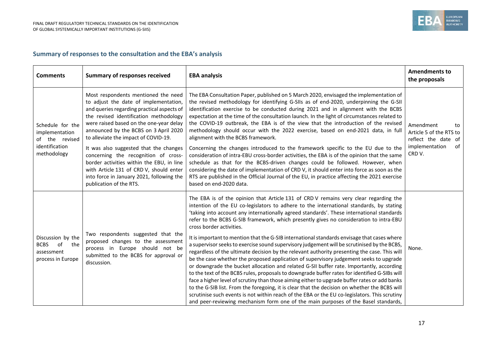

### **Summary of responses to the consultation and the EBA's analysis**

| <b>Comments</b>                                                                       | <b>Summary of responses received</b>                                                                                                                                                                                                                                                                                                                                                                                                                                                                                                               | <b>EBA analysis</b>                                                                                                                                                                                                                                                                                                                                                                                                                                                                                                                                                                                                                                                                                                                                                                                                                                                                                                                                                                                                                                                                                                                                                                                                                                                                                                                                                              | <b>Amendments to</b><br>the proposals                                                               |
|---------------------------------------------------------------------------------------|----------------------------------------------------------------------------------------------------------------------------------------------------------------------------------------------------------------------------------------------------------------------------------------------------------------------------------------------------------------------------------------------------------------------------------------------------------------------------------------------------------------------------------------------------|----------------------------------------------------------------------------------------------------------------------------------------------------------------------------------------------------------------------------------------------------------------------------------------------------------------------------------------------------------------------------------------------------------------------------------------------------------------------------------------------------------------------------------------------------------------------------------------------------------------------------------------------------------------------------------------------------------------------------------------------------------------------------------------------------------------------------------------------------------------------------------------------------------------------------------------------------------------------------------------------------------------------------------------------------------------------------------------------------------------------------------------------------------------------------------------------------------------------------------------------------------------------------------------------------------------------------------------------------------------------------------|-----------------------------------------------------------------------------------------------------|
| Schedule for the<br>implementation<br>of the revised<br>identification<br>methodology | Most respondents mentioned the need<br>to adjust the date of implementation,<br>and queries regarding practical aspects of<br>the revised identification methodology<br>were raised based on the one-year delay<br>announced by the BCBS on 3 April 2020<br>to alleviate the impact of COVID-19.<br>It was also suggested that the changes<br>concerning the recognition of cross-<br>border activities within the EBU, in line<br>with Article 131 of CRD V, should enter<br>into force in January 2021, following the<br>publication of the RTS. | The EBA Consultation Paper, published on 5 March 2020, envisaged the implementation of<br>the revised methodology for identifying G-SIIs as of end-2020, underpinning the G-SII<br>identification exercise to be conducted during 2021 and in alignment with the BCBS<br>expectation at the time of the consultation launch. In the light of circumstances related to<br>the COVID-19 outbreak, the EBA is of the view that the introduction of the revised<br>methodology should occur with the 2022 exercise, based on end-2021 data, in full<br>alignment with the BCBS framework.<br>Concerning the changes introduced to the framework specific to the EU due to the<br>consideration of intra-EBU cross-border activities, the EBA is of the opinion that the same<br>schedule as that for the BCBS-driven changes could be followed. However, when<br>considering the date of implementation of CRD V, it should enter into force as soon as the<br>RTS are published in the Official Journal of the EU, in practice affecting the 2021 exercise<br>based on end-2020 data.                                                                                                                                                                                                                                                                                               | Amendment<br>to<br>Article 5 of the RTS to<br>reflect the date of<br>of<br>implementation<br>CRD V. |
| Discussion by the<br><b>BCBS</b><br>of<br>the<br>assessment<br>process in Europe      | Two respondents suggested that the<br>proposed changes to the assessment<br>process in Europe should not be<br>submitted to the BCBS for approval or<br>discussion.                                                                                                                                                                                                                                                                                                                                                                                | The EBA is of the opinion that Article 131 of CRD V remains very clear regarding the<br>intention of the EU co-legislators to adhere to the international standards, by stating<br>'taking into account any internationally agreed standards'. These international standards<br>refer to the BCBS G-SIB framework, which presently gives no consideration to intra-EBU<br>cross border activities.<br>It is important to mention that the G-SIB international standards envisage that cases where<br>a supervisor seeks to exercise sound supervisory judgement will be scrutinised by the BCBS,<br>regardless of the ultimate decision by the relevant authority presenting the case. This will<br>be the case whether the proposed application of supervisory judgement seeks to upgrade<br>or downgrade the bucket allocation and related G-SII buffer rate. Importantly, according<br>to the text of the BCBS rules, proposals to downgrade buffer rates for identified G-SIBs will<br>face a higher level of scrutiny than those aiming either to upgrade buffer rates or add banks<br>to the G-SIB list. From the foregoing, it is clear that the decision on whether the BCBS will<br>scrutinise such events is not within reach of the EBA or the EU co-legislators. This scrutiny<br>and peer-reviewing mechanism form one of the main purposes of the Basel standards, | None.                                                                                               |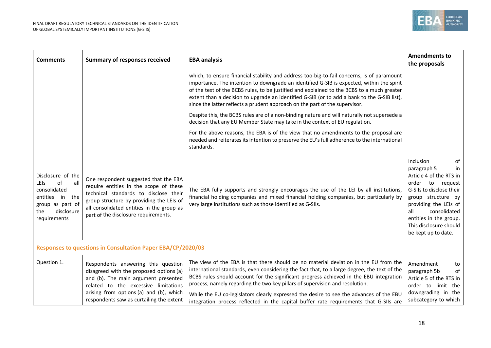

| <b>Comments</b>                                                                                                                           | <b>Summary of responses received</b>                                                                                                                                                                                                                      | <b>EBA analysis</b>                                                                                                                                                                                                                                                                                                                                                                                                                                                                                                                               | <b>Amendments to</b><br>the proposals                                                                                                                                                                                                                                  |  |  |
|-------------------------------------------------------------------------------------------------------------------------------------------|-----------------------------------------------------------------------------------------------------------------------------------------------------------------------------------------------------------------------------------------------------------|---------------------------------------------------------------------------------------------------------------------------------------------------------------------------------------------------------------------------------------------------------------------------------------------------------------------------------------------------------------------------------------------------------------------------------------------------------------------------------------------------------------------------------------------------|------------------------------------------------------------------------------------------------------------------------------------------------------------------------------------------------------------------------------------------------------------------------|--|--|
|                                                                                                                                           |                                                                                                                                                                                                                                                           | which, to ensure financial stability and address too-big-to-fail concerns, is of paramount<br>importance. The intention to downgrade an identified G-SIB is expected, within the spirit<br>of the text of the BCBS rules, to be justified and explained to the BCBS to a much greater<br>extent than a decision to upgrade an identified G-SIB (or to add a bank to the G-SIB list),<br>since the latter reflects a prudent approach on the part of the supervisor.                                                                               |                                                                                                                                                                                                                                                                        |  |  |
|                                                                                                                                           |                                                                                                                                                                                                                                                           | Despite this, the BCBS rules are of a non-binding nature and will naturally not supersede a<br>decision that any EU Member State may take in the context of EU regulation.                                                                                                                                                                                                                                                                                                                                                                        |                                                                                                                                                                                                                                                                        |  |  |
|                                                                                                                                           |                                                                                                                                                                                                                                                           | For the above reasons, the EBA is of the view that no amendments to the proposal are<br>needed and reiterates its intention to preserve the EU's full adherence to the international<br>standards.                                                                                                                                                                                                                                                                                                                                                |                                                                                                                                                                                                                                                                        |  |  |
| Disclosure of the<br>of<br>all<br><b>LEIS</b><br>consolidated<br>entities in the<br>group as part of<br>disclosure<br>the<br>requirements | One respondent suggested that the EBA<br>require entities in the scope of these<br>technical standards to disclose their<br>group structure by providing the LEIs of<br>all consolidated entities in the group as<br>part of the disclosure requirements. | The EBA fully supports and strongly encourages the use of the LEI by all institutions,<br>financial holding companies and mixed financial holding companies, but particularly by<br>very large institutions such as those identified as G-SIIs.                                                                                                                                                                                                                                                                                                   | Inclusion<br>of<br>paragraph 5<br>in<br>Article 4 of the RTS in<br>order<br>to<br>request<br>G-SIIs to disclose their<br>group structure by<br>providing the LEIs of<br>consolidated<br>all<br>entities in the group.<br>This disclosure should<br>be kept up to date. |  |  |
| Responses to questions in Consultation Paper EBA/CP/2020/03                                                                               |                                                                                                                                                                                                                                                           |                                                                                                                                                                                                                                                                                                                                                                                                                                                                                                                                                   |                                                                                                                                                                                                                                                                        |  |  |
| Question 1.                                                                                                                               | Respondents answering this question<br>disagreed with the proposed options (a)<br>and (b). The main argument presented<br>related to the excessive limitations<br>arising from options (a) and (b), which<br>respondents saw as curtailing the extent     | The view of the EBA is that there should be no material deviation in the EU from the<br>international standards, even considering the fact that, to a large degree, the text of the<br>BCBS rules should account for the significant progress achieved in the EBU integration<br>process, namely regarding the two key pillars of supervision and resolution.<br>While the EU co-legislators clearly expressed the desire to see the advances of the EBU<br>integration process reflected in the capital buffer rate requirements that G-SIIs are | Amendment<br>to<br>paragraph 5b<br>of<br>Article 5 of the RTS in<br>order to limit the<br>downgrading in the<br>subcategory to which                                                                                                                                   |  |  |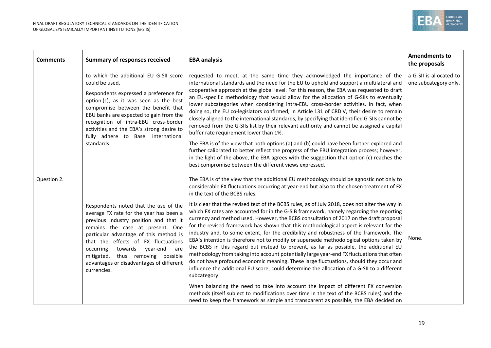

| <b>Comments</b> | <b>Summary of responses received</b>                                                                                                                                                                                                                                                                                                                                                          | <b>EBA analysis</b>                                                                                                                                                                                                                                                                                                                                                                                                                                                                                                                                                                                                                                                                                                                                                                                                                                                                                                                                                                                                                                                                                                                                                                                                                                                                                                                                                                | <b>Amendments to</b><br>the proposals            |
|-----------------|-----------------------------------------------------------------------------------------------------------------------------------------------------------------------------------------------------------------------------------------------------------------------------------------------------------------------------------------------------------------------------------------------|------------------------------------------------------------------------------------------------------------------------------------------------------------------------------------------------------------------------------------------------------------------------------------------------------------------------------------------------------------------------------------------------------------------------------------------------------------------------------------------------------------------------------------------------------------------------------------------------------------------------------------------------------------------------------------------------------------------------------------------------------------------------------------------------------------------------------------------------------------------------------------------------------------------------------------------------------------------------------------------------------------------------------------------------------------------------------------------------------------------------------------------------------------------------------------------------------------------------------------------------------------------------------------------------------------------------------------------------------------------------------------|--------------------------------------------------|
|                 | to which the additional EU G-SII score<br>could be used.<br>Respondents expressed a preference for<br>option (c), as it was seen as the best<br>compromise between the benefit that<br>EBU banks are expected to gain from the<br>recognition of intra-EBU cross-border<br>activities and the EBA's strong desire to<br>fully adhere to Basel international<br>standards.                     | requested to meet, at the same time they acknowledged the importance of the<br>international standards and the need for the EU to uphold and support a multilateral and<br>cooperative approach at the global level. For this reason, the EBA was requested to draft<br>an EU-specific methodology that would allow for the allocation of G-SIIs to eventually<br>lower subcategories when considering intra-EBU cross-border activities. In fact, when<br>doing so, the EU co-legislators confirmed, in Article 131 of CRD V, their desire to remain<br>closely aligned to the international standards, by specifying that identified G-SIIs cannot be<br>removed from the G-SIIs list by their relevant authority and cannot be assigned a capital<br>buffer rate requirement lower than 1%.<br>The EBA is of the view that both options (a) and (b) could have been further explored and<br>further calibrated to better reflect the progress of the EBU integration process; however,<br>in the light of the above, the EBA agrees with the suggestion that option (c) reaches the<br>best compromise between the different views expressed.                                                                                                                                                                                                                                   | a G-SII is allocated to<br>one subcategory only. |
| Question 2.     | Respondents noted that the use of the<br>average FX rate for the year has been a<br>previous industry position and that it<br>remains the case at present. One<br>particular advantage of this method is<br>that the effects of FX fluctuations<br>occurring<br>towards<br>year-end<br>are<br>thus removing possible<br>mitigated,<br>advantages or disadvantages of different<br>currencies. | The EBA is of the view that the additional EU methodology should be agnostic not only to<br>considerable FX fluctuations occurring at year-end but also to the chosen treatment of FX<br>in the text of the BCBS rules.<br>It is clear that the revised text of the BCBS rules, as of July 2018, does not alter the way in<br>which FX rates are accounted for in the G-SIB framework, namely regarding the reporting<br>currency and method used. However, the BCBS consultation of 2017 on the draft proposal<br>for the revised framework has shown that this methodological aspect is relevant for the<br>industry and, to some extent, for the credibility and robustness of the framework. The<br>EBA's intention is therefore not to modify or supersede methodological options taken by<br>the BCBS in this regard but instead to prevent, as far as possible, the additional EU<br>methodology from taking into account potentially large year-end FX fluctuations that often<br>do not have profound economic meaning. These large fluctuations, should they occur and<br>influence the additional EU score, could determine the allocation of a G-SII to a different<br>subcategory.<br>When balancing the need to take into account the impact of different FX conversion<br>methods (itself subject to modifications over time in the text of the BCBS rules) and the | None.                                            |